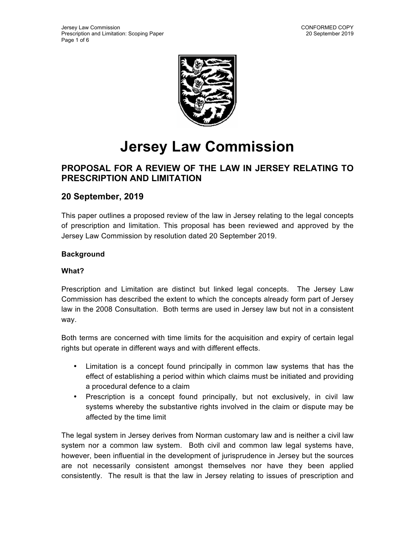

# **Jersey Law Commission**

## **PROPOSAL FOR A REVIEW OF THE LAW IN JERSEY RELATING TO PRESCRIPTION AND LIMITATION**

### **20 September, 2019**

This paper outlines a proposed review of the law in Jersey relating to the legal concepts of prescription and limitation. This proposal has been reviewed and approved by the Jersey Law Commission by resolution dated 20 September 2019.

#### **Background**

#### **What?**

Prescription and Limitation are distinct but linked legal concepts. The Jersey Law Commission has described the extent to which the concepts already form part of Jersey law in the 2008 Consultation. Both terms are used in Jersey law but not in a consistent way.

Both terms are concerned with time limits for the acquisition and expiry of certain legal rights but operate in different ways and with different effects.

- Limitation is a concept found principally in common law systems that has the effect of establishing a period within which claims must be initiated and providing a procedural defence to a claim
- Prescription is a concept found principally, but not exclusively, in civil law systems whereby the substantive rights involved in the claim or dispute may be affected by the time limit

The legal system in Jersey derives from Norman customary law and is neither a civil law system nor a common law system. Both civil and common law legal systems have, however, been influential in the development of jurisprudence in Jersey but the sources are not necessarily consistent amongst themselves nor have they been applied consistently. The result is that the law in Jersey relating to issues of prescription and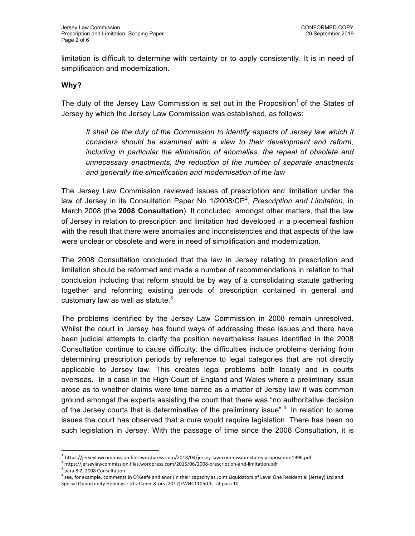limitation is difficult to determine with certainty or to apply consistently. It is in need of simplification and modernization.

#### **Why?**

The duty of the Jersey Law Commission is set out in the Proposition<sup>1</sup> of the States of Jersey by which the Jersey Law Commission was established, as follows:

It shall be the duty of the Commission to identify aspects of Jersey law which it *considers should be examined with a view to their development and reform, including in particular the elimination of anomalies, the repeal of obsolete and unnecessary enactments, the reduction of the number of separate enactments and generally the simplification and modernisation of the law*

The Jersey Law Commission reviewed issues of prescription and limitation under the law of Jersey in its Consultation Paper No 1/2008/CP<sup>2</sup>, Prescription and Limitation, in March 2008 (the **2008 Consultation**). It concluded, amongst other matters, that the law of Jersey in relation to prescription and limitation had developed in a piecemeal fashion with the result that there were anomalies and inconsistencies and that aspects of the law were unclear or obsolete and were in need of simplification and modernization.

The 2008 Consultation concluded that the law in Jersey relating to prescription and limitation should be reformed and made a number of recommendations in relation to that conclusion including that reform should be by way of a consolidating statute gathering together and reforming existing periods of prescription contained in general and customary law as well as statute. $^3$ 

The problems identified by the Jersey Law Commission in 2008 remain unresolved. Whilst the court in Jersey has found ways of addressing these issues and there have been judicial attempts to clarify the position nevertheless issues identified in the 2008 Consultation continue to cause difficulty: the difficulties include problems deriving from determining prescription periods by reference to legal categories that are not directly applicable to Jersey law. This creates legal problems both locally and in courts overseas. In a case in the High Court of England and Wales where a preliminary issue arose as to whether claims were time barred as a matter of Jersey law it was common ground amongst the experts assisting the court that there was "no authoritative decision of the Jersey courts that is determinative of the preliminary issue".<sup>4</sup> In relation to some issues the court has observed that a cure would require legislation. There has been no such legislation in Jersey. With the passage of time since the 2008 Consultation, it is

 

<sup>1</sup> https://jerseylawcommission.files.wordpress.com/2018/04/jersey-law-commission-states-proposition-1996.pdf

 $^{2}$  https://jerseylawcommission.files.wordpress.com/2015/06/2008-prescription-and-limitation.pdf

 $3$  para 8.2, 2008 Consultation

 $^4$  see, for example, comments in O'Keefe and anor (in their capacity as Joint Liquidators of Level One Residential (Jersey) Ltd and Special Opportunity Holdings Ltd v Caner & ors [2017]EWHC1105(Ch at para 10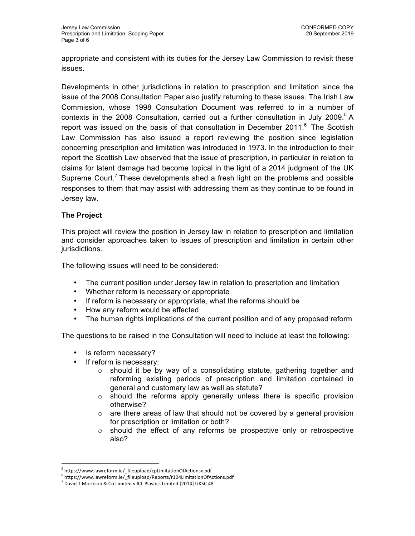appropriate and consistent with its duties for the Jersey Law Commission to revisit these issues.

Developments in other jurisdictions in relation to prescription and limitation since the issue of the 2008 Consultation Paper also justify returning to these issues. The Irish Law Commission, whose 1998 Consultation Document was referred to in a number of contexts in the 2008 Consultation, carried out a further consultation in July 2009.<sup>5</sup> A report was issued on the basis of that consultation in December 2011.<sup>6</sup> The Scottish Law Commission has also issued a report reviewing the position since legislation concerning prescription and limitation was introduced in 1973. In the introduction to their report the Scottish Law observed that the issue of prescription, in particular in relation to claims for latent damage had become topical in the light of a 2014 judgment of the UK Supreme Court.<sup>7</sup> These developments shed a fresh light on the problems and possible responses to them that may assist with addressing them as they continue to be found in Jersey law.

#### **The Project**

This project will review the position in Jersey law in relation to prescription and limitation and consider approaches taken to issues of prescription and limitation in certain other jurisdictions.

The following issues will need to be considered:

- The current position under Jersey law in relation to prescription and limitation
- Whether reform is necessary or appropriate
- If reform is necessary or appropriate, what the reforms should be
- How any reform would be effected
- The human rights implications of the current position and of any proposed reform

The questions to be raised in the Consultation will need to include at least the following:

• Is reform necessary?

 

- If reform is necessary:
	- $\circ$  should it be by way of a consolidating statute, gathering together and reforming existing periods of prescription and limitation contained in general and customary law as well as statute?
	- o should the reforms apply generally unless there is specific provision otherwise?
	- o are there areas of law that should not be covered by a general provision for prescription or limitation or both?
	- $\circ$  should the effect of any reforms be prospective only or retrospective also?

<sup>5</sup> https://www.lawreform.ie/\_fileupload/cpLimitationOfActionsx.pdf

 $6$  https://www.lawreform.ie/\_fileupload/Reports/r104LimitationOfActions.pdf

 $^7$  David T Morrison & Co Limited v ICL Plastics Limited [2014] UKSC 48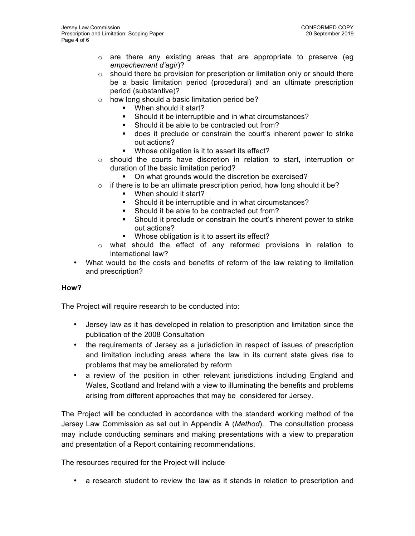- $\circ$  are there any existing areas that are appropriate to preserve (eq *empechement d'agir*)?
- o should there be provision for prescription or limitation only or should there be a basic limitation period (procedural) and an ultimate prescription period (substantive)?
- o how long should a basic limitation period be?
	- § When should it start?
	- § Should it be interruptible and in what circumstances?
	- Should it be able to be contracted out from?
	- § does it preclude or constrain the court's inherent power to strike out actions?
	- Whose obligation is it to assert its effect?
- $\circ$  should the courts have discretion in relation to start, interruption or duration of the basic limitation period?
	- On what grounds would the discretion be exercised?
- $\circ$  if there is to be an ultimate prescription period, how long should it be?
	- § When should it start?
	- § Should it be interruptible and in what circumstances?
	- § Should it be able to be contracted out from?
	- § Should it preclude or constrain the court's inherent power to strike out actions?
	- Whose obligation is it to assert its effect?
- o what should the effect of any reformed provisions in relation to international law?
- What would be the costs and benefits of reform of the law relating to limitation and prescription?

#### **How?**

The Project will require research to be conducted into:

- Jersey law as it has developed in relation to prescription and limitation since the publication of the 2008 Consultation
- the requirements of Jersey as a jurisdiction in respect of issues of prescription and limitation including areas where the law in its current state gives rise to problems that may be ameliorated by reform
- a review of the position in other relevant jurisdictions including England and Wales, Scotland and Ireland with a view to illuminating the benefits and problems arising from different approaches that may be considered for Jersey.

The Project will be conducted in accordance with the standard working method of the Jersey Law Commission as set out in Appendix A (*Method*). The consultation process may include conducting seminars and making presentations with a view to preparation and presentation of a Report containing recommendations.

The resources required for the Project will include

• a research student to review the law as it stands in relation to prescription and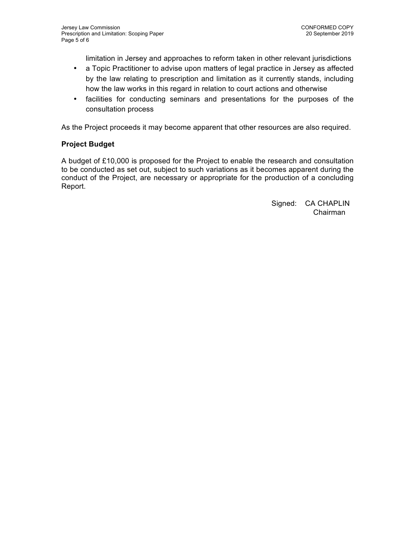limitation in Jersey and approaches to reform taken in other relevant jurisdictions

- a Topic Practitioner to advise upon matters of legal practice in Jersey as affected by the law relating to prescription and limitation as it currently stands, including how the law works in this regard in relation to court actions and otherwise
- facilities for conducting seminars and presentations for the purposes of the consultation process

As the Project proceeds it may become apparent that other resources are also required.

#### **Project Budget**

A budget of £10,000 is proposed for the Project to enable the research and consultation to be conducted as set out, subject to such variations as it becomes apparent during the conduct of the Project, are necessary or appropriate for the production of a concluding Report.

> Signed: CA CHAPLIN Chairman